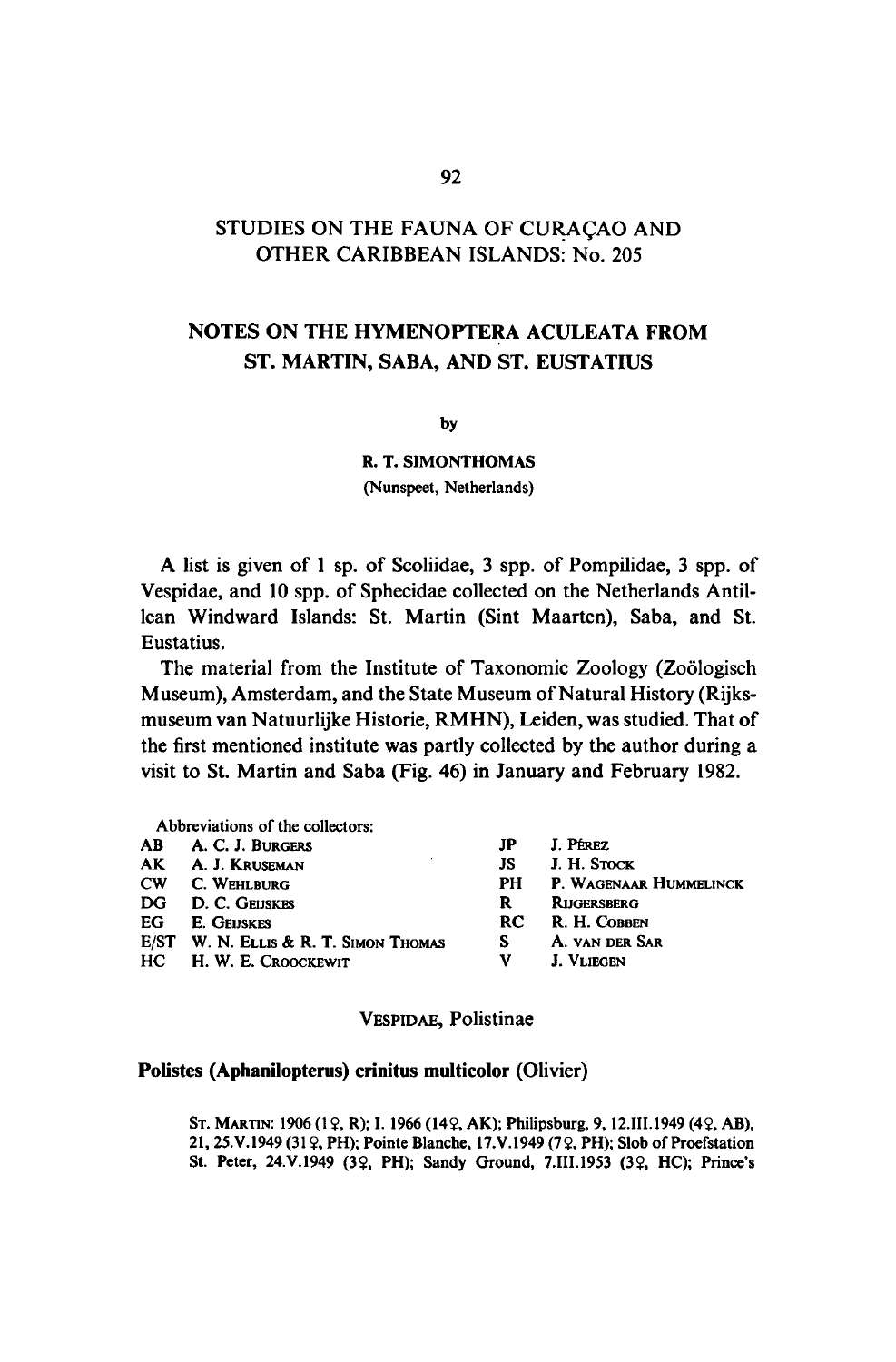# STUDIES ON THE FAUNA OF CURAÇAO AND OTHER CARIBBEAN ISLANDS: No. 205

# Notes on the Hymenoptera Aculeata from St. Martin, Saba, and St. Eustatius

by

R.T. Simonthomas

(Nunspeet, Netherlands)

A list is given of <sup>1</sup> sp. of Scoliidae, <sup>3</sup> spp. of Pompilidae, <sup>3</sup> spp. of Vespidae, and 10 spp. of Sphecidae collected on the Netherlands Antillean Windward Islands: St. Martin (Sint Maarten), Saba, and St. Eustatius.

The material from the Institute of Taxonomic Zoology (Zoölogisch Museum), Amsterdam, and the State Museum of Natural History (Rijksmuseum van Natuurlijke Historie, RMHN), Leiden, was studied.That of the first mentioned institute was partly collected by the author during <sup>a</sup> visit to St. Martin and Saba (Fig. 46) in January and February 1982.

|    | Abbreviations of the collectors:      |     |                        |
|----|---------------------------------------|-----|------------------------|
|    | AB A. C. J. BURGERS                   | JP  | J. Pérez               |
|    | AK A. J. Kruseman                     | JS  | J. H. Stock            |
|    | <b>CW C. WEHLBURG</b>                 | PH  | P. WAGENAAR HUMMELINCK |
|    | DG D. C. GEUSKES                      | R   | <b>RIJGERSBERG</b>     |
| EG | <b>E.</b> GEIJSKES                    | RC. | R. H. Cobben           |
|    | E/ST W. N. ELLIS & R. T. SIMON THOMAS | s   | A. VAN DER SAR         |
|    | HC H. W. E. CROOCKEWIT                | v   | <b>J. VLIEGEN</b>      |
|    |                                       |     |                        |

VESPIDAE, Polistinae

### Polistes (Aphanilopterus) crinitus multicolor (Olivier)

ST. MARTIN: 1906 (1 º, R); I. 1966 (14 °, AK); Philipsburg, 9, 12.111.1949 (4 °, AB), 21, 25.V.1949 (31 ?, PH); Pointe Blanche, 17.V.1949 (7?, PH); Slob of Proefstation St. Peter, 24.V.1949 (3?, PH); Sandy Ground, 7.III.1953 (3?, HC); Prince's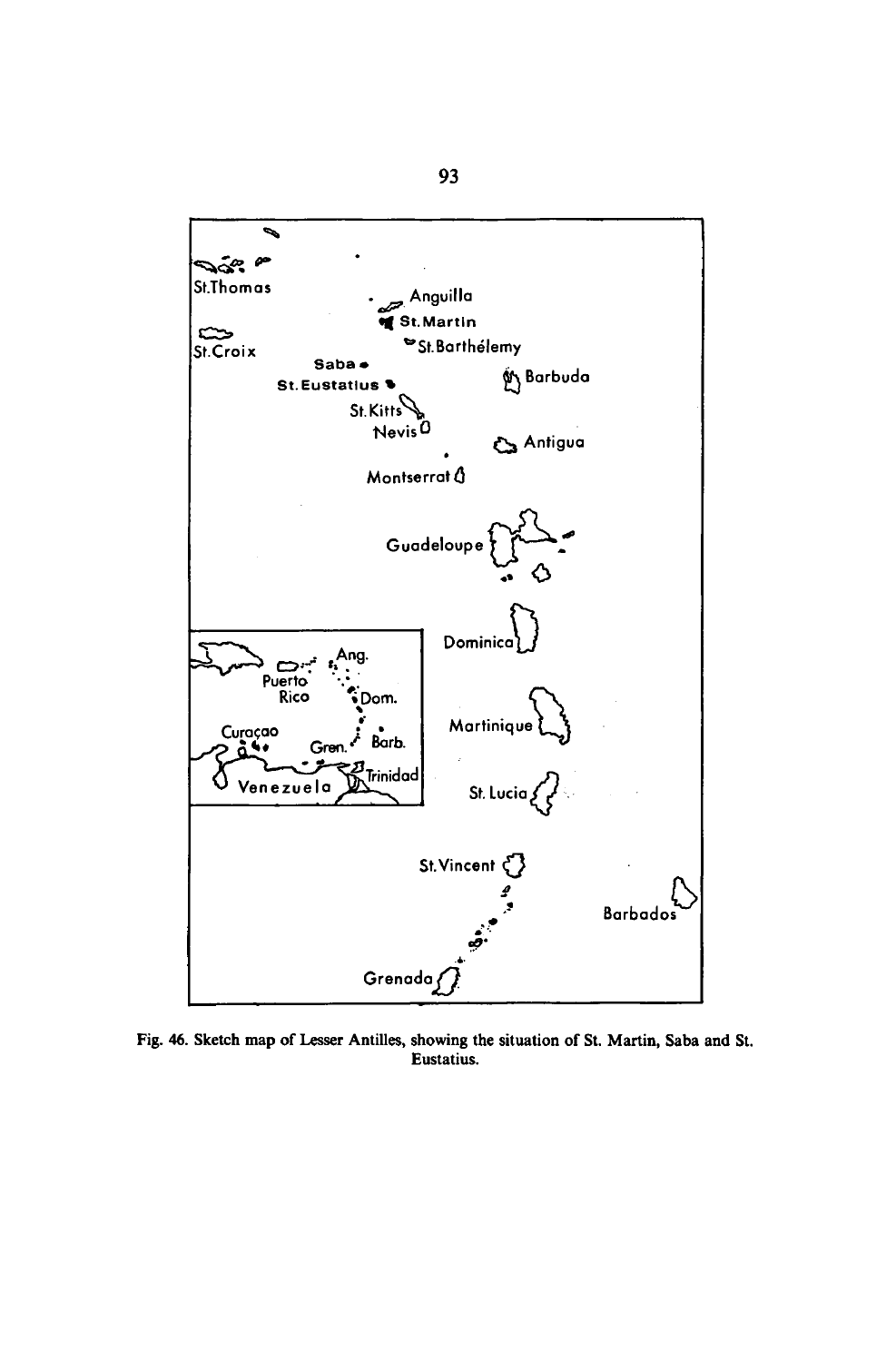

Fig. 46. Sketch map of Lesser Antilles, showing the situation of St. Martin, Saba and St. Eustatius.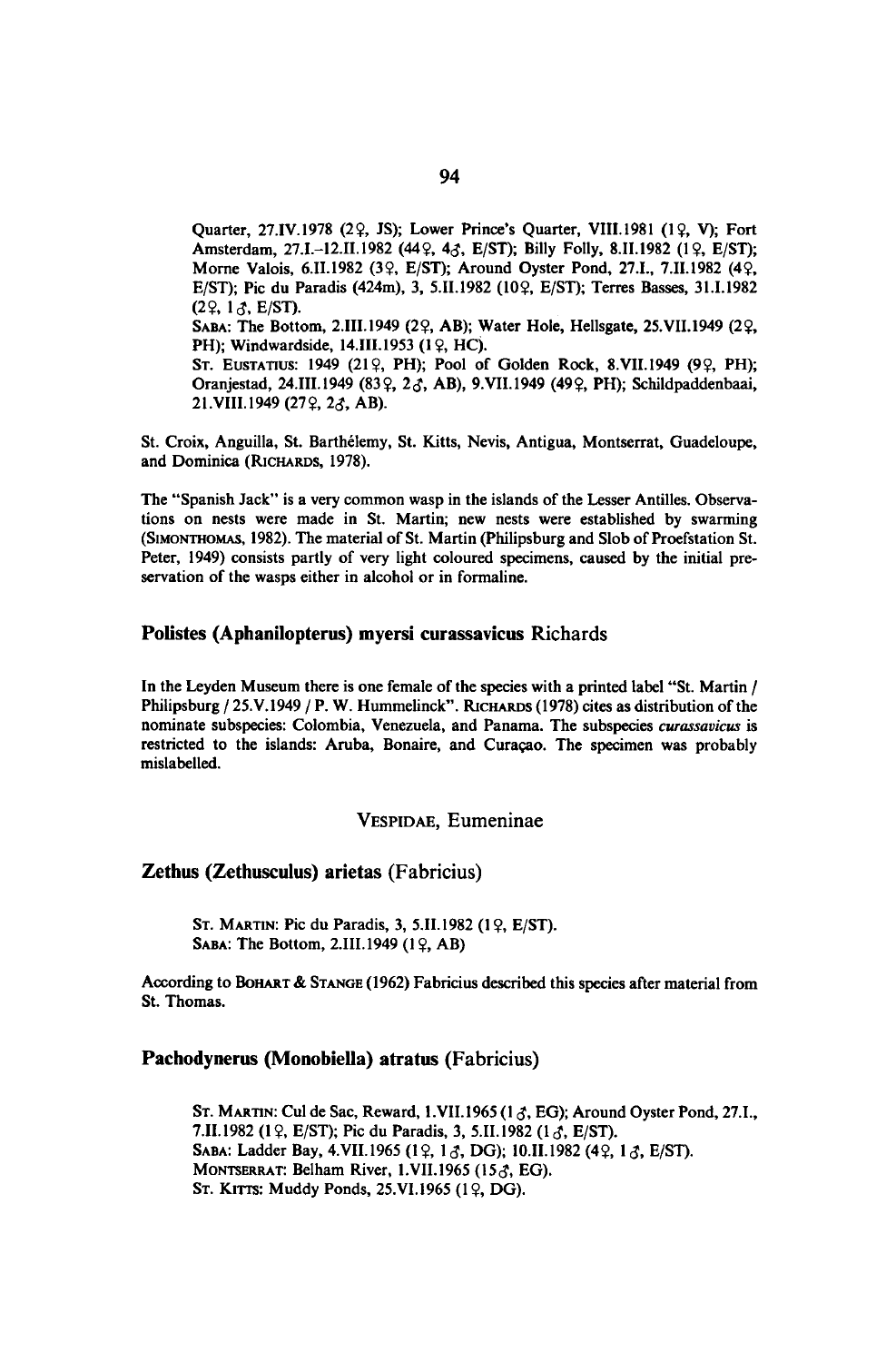Quarter, 27.IV.1978 (29, JS); Lower Prince's Quarter, VIII.1981 (19, V); Fort Amsterdam, 27.I.-12.II.1982 (449, 43, E/ST); Billy Folly, 8.II.1982 (19, E/ST); Morne Valois, 6.II.1982 (39, E/ST); Around Oyster Pond, 27.I., 7.II.1982 (49, E/ST); Pic du Paradis (424m), 3, 5.II.1982 (109, E/ST); Terres Basses, 31.I.1982  $(29, 1 \lambda, E/ST)$ . SABA: The Bottom, 2.III.1949 (22, AB); Water Hole, Hellsgate, 25.VII.1949 (22, PH); Windwardside, 14.III.1953 (19, HC). ST. EUSTATIUS: 1949 (212, PH); Pool of Golden Rock, 8.VII.1949 (92, PH); Oranjestad, 24.III.1949 (83º, 23, AB), 9.VII.1949 (49º, PH); Schildpaddenbaai, 21.VIII.1949 (272, 23, AB).

St. Croix, Anguilla, St. Barthelemy, St. Kitts, Nevis, Antigua, Montserrat, Guadeloupe, and Dominica (RICHARDS, 1978).

The "Spanish Jack" is a very common wasp in the islands of the Lesser Antilles. Observations on nests were made in St. Martin; new nests were established by swarming (SIMONTHOMAS, 1982). The material of St. Martin (Philipsburg and Slob of Proefstation St. Peter, 1949) consists partly of very light coloured specimens, caused by the initial preservation of the wasps either in alcohol or in formaline.

### Polistes (Aphanilopterus) myersi curassavicus Richards

In the Leyden Museum there is one female of the species with a printed label "St. Martin / Philipsburg / 25.V.1949 / P. W. Hummelinck". RICHARDS (1978) cites as distribution of the nominate subspecies: Colombia, Venezuela, and Panama. The subspecies curassavicus is restricted to the islands: Aruba, Bonaire, and Curaçao. The specimen was probably mislabelled.

### VESPIDAE, Eumeninae

#### Zethus (Zethusculus) arietas (Fabricius)

ST. MARTIN: Pic du Paradis, 3, 5.II.1982 (19, E/ST). SABA: The Bottom, 2.III.1949  $(1 \, 2, AB)$ 

According to BOHART & STANGE (1962) Fabricius described this species after material from St. Thomas.

#### Pachodynerus (Monobiella) atratus (Fabricius)

ST. MARTIN: Cul de Sac, Reward, 1.VII.1965 (1 $\zeta$ , EG); Around Oyster Pond, 27.I., 7.II.1982 (19, E/ST); Pic du Paradis, 3, 5.II.1982 (13, E/ST). SABA: Ladder Bay, 4.VII.1965 (19, 13, DG); 10.II.1982 (49, 13, E/ST). MONTSERRAT: Belham River, 1.VII.1965 (15 $\zeta$ , EG). ST. KITTS: Muddy Ponds, 25.VI.1965 (12, DG).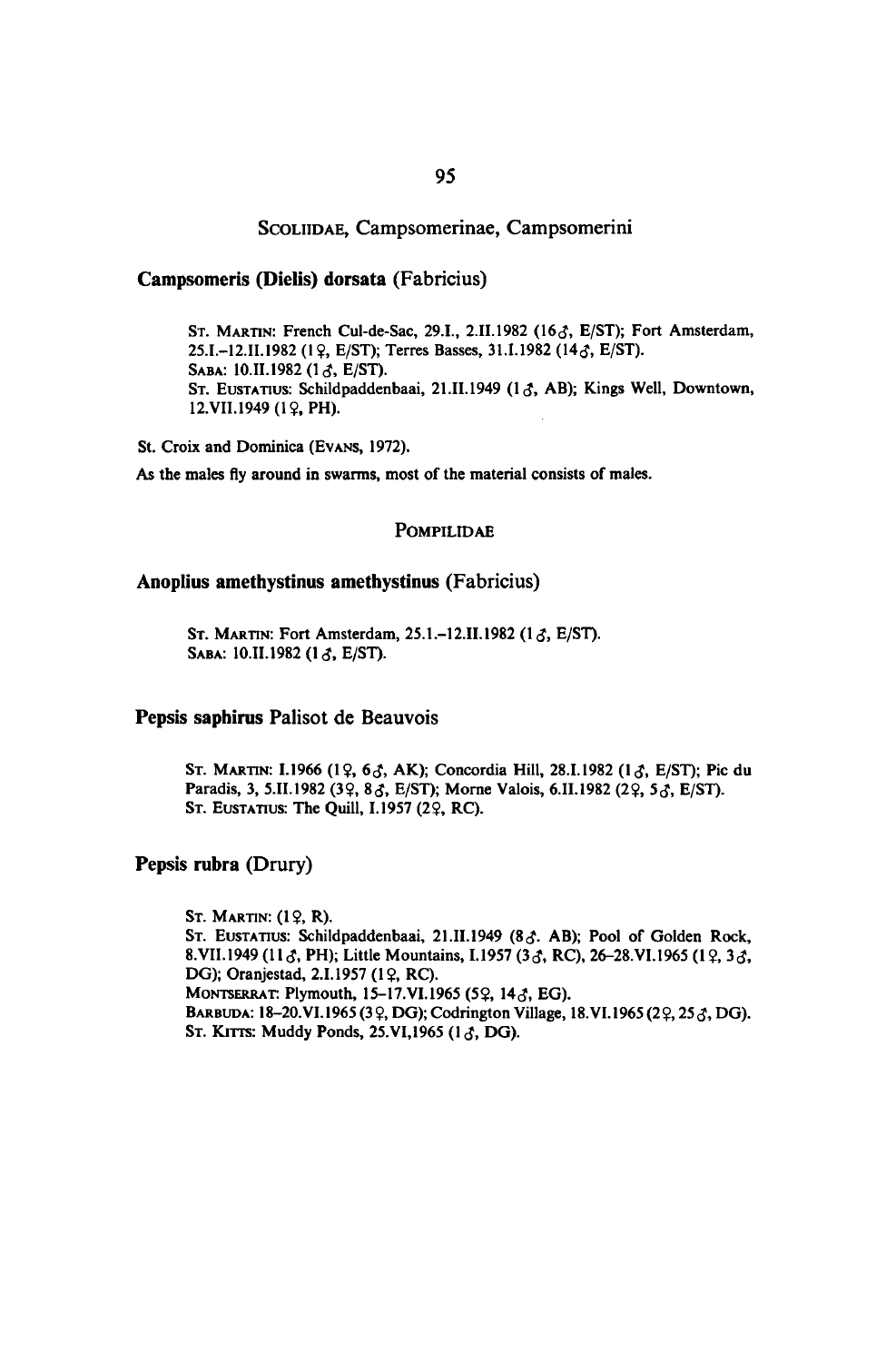### SCOLIIDAE, Campsomerinae, Campsomerini

### Campsomeris (Dielis) dorsata (Fabricius)

ST. MARTIN: French Cul-de-Sac, 29.I., 2.II.1982 (16 $\delta$ , E/ST); Fort Amsterdam, 25.I.-12.II.1982 (19, E/ST); Terres Basses, 31.I.1982 (143, E/ST). SABA: 10.II.1982 (13, E/ST). ST. EUSTATIUS: Schildpaddenbaai, 21.II.1949 (13, AB); Kings Well, Downtown, 12.VII.1949 (1?, PH).

St. Croix and Dominica (EVANS, 1972).

As the males fly around in swarms, most of the material consists of males.

### POMPILIDAE

#### Anoplius amethystinus amethystinus (Fabricius)

ST. MARTIN: Fort Amsterdam, 25.1.-12.II.1982 (1 $\delta$ , E/ST). SABA: 10.II.1982 (13, E/ST).

#### Pepsis saphirus Palisot de Beauvois

ST. MARTIN: I.1966 (19, 65, AK); Concordia Hill, 28.I.1982 (15, E/ST); Pic du Paradis, 3, 5.II.1982 (32, 83, E/ST); Morne Valois, 6.II.1982 (22, 53, E/ST). ST. EUSTATIUS: The Quill, I.1957 (22, RC).

### Pepsis rubra (Drury)

ST. MARTIN:  $(1 \, 2, R)$ . ST. EUSTATIUS: Schildpaddenbaai, 21.II.1949 (83. AB); Pool of Golden Rock, 8.VII.1949 (11 §, PH); Little Mountains, I.1957 (3 §, RC), 26-28.VI.1965 (1 ?, 3 §, DG); Oranjestad, 2.I.1957 (19, RC). MONTSERRAT: Plymouth, 15-17.VI.1965 (5?, 14<J, EG). BARBUDA: 18-20.VI.1965 (39, DG); Codrington Village, 18.VI.1965 (29, 253, DG). ST. KITTS: Muddy Ponds, 25.VI, 1965 (13, DG).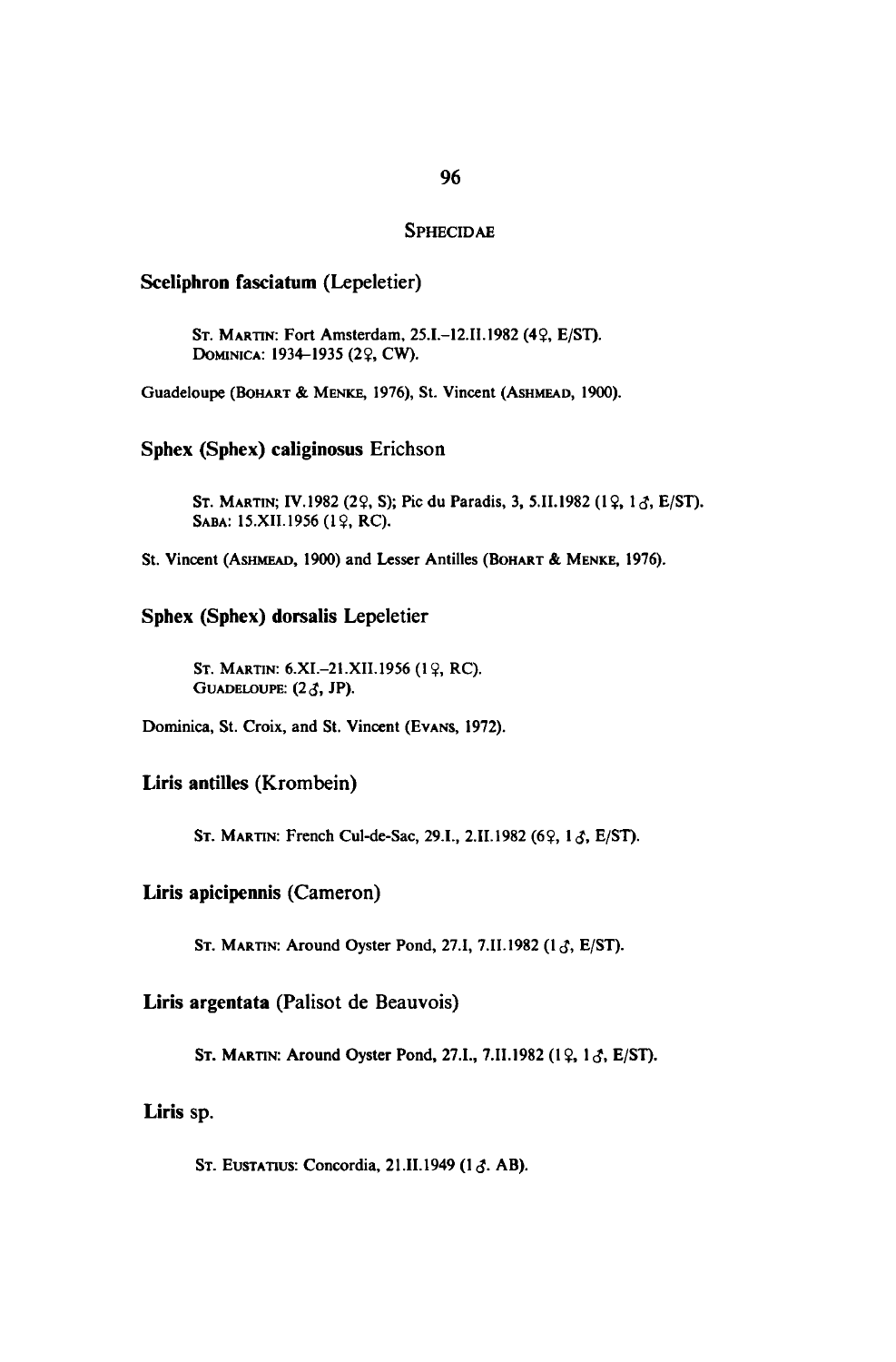### **SPHECIDAE**

### Sceliphron fasciatum (Lepeletier)

ST. MARTIN: Fort Amsterdam, 25.I.-12.II.1982 (49, E/ST). DOMINICA: 1934-1935 (29, CW).

Guadeloupe (BOHART & MENKE, 1976), St. Vincent (ASHMEAD, 1900).

### Sphex (Sphex) caliginosus Erichson

ST. MARTIN; IV.1982 (29, S); Pic du Paradis, 3, 5.II.1982 (19, 16, E/ST). SABA: 15.XII.1956 (19, RC).

St. Vincent (ASHMEAD, 1900) and Lesser Antilles (BOHART & MENKE, 1976).

### Sphex (Sphex) dorsalis Lepeletier

ST. MARTIN: 6.XI.-21.XII.1956 (19, RC). GUADELOUPE:  $(2\mathcal{J}, JP)$ .

Dominica, St. Croix, and St. Vincent (EVANS, 1972).

### Liris antilles (Krombein)

ST. MARTIN: French Cul-de-Sac, 29.I., 2.II.1982 (69, 13, E/ST).

### Liris apicipennis (Cameron)

ST. MARTIN: Around Oyster Pond, 27.I, 7.II.1982 (13, E/ST).

### Liris argentata (Palisot de Beauvois)

ST. MARTIN: Around Oyster Pond, 27.I., 7.II.1982 (19, 13, E/ST).

### Liris sp.

ST. EUSTATIUS: Concordia, 21.II.1949 (13. AB).

# 96